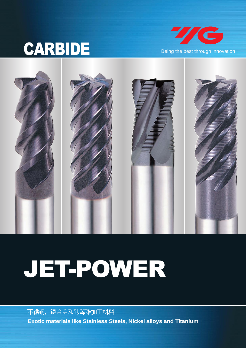# CARBIDE Being the best through innovation





# JET-POWER

- 不锈钢, 镍合金和钛等难加工材料 **Exotic materials like Stainless Steels, Nickel alloys and Titanium**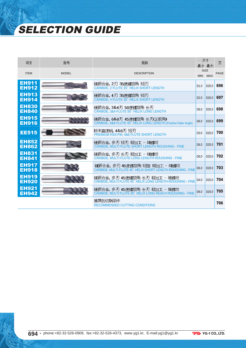# SELECTION GUIDE

| 项目                           | 型목           | 规格                                                                                          |                  | 尺寸<br>最小 最大       | 页    |
|------------------------------|--------------|---------------------------------------------------------------------------------------------|------------------|-------------------|------|
| <b>ITEM</b>                  | <b>MODEL</b> | <b>DESCRIPTION</b>                                                                          | SIZE             |                   | PAGE |
|                              |              |                                                                                             |                  | MIN MAX           |      |
| <b>EH911</b><br><b>EH912</b> |              | 硬质合金,2刃 35度螺旋角 短刃<br>CARBIDE, 2 FLUTE 35° HELIX SHORT LENGTH                                | D1.0             | D <sub>25.0</sub> | 696  |
| <b>EH913</b><br><b>EH914</b> |              | 硬质合金,4刃 35度螺旋角 短刃<br>CARBIDE, 4 FLUTE 35° HELIX SHORT LENGTH                                | D2.0             | D <sub>25.0</sub> | 697  |
| <b>EH830</b><br><b>EH840</b> |              | 硬质合金, 3&4刃 50度螺旋角 长刃<br>CARBIDE, 3&4 FLUTE 50° HELIX LONG LENGTH                            | D <sub>6.0</sub> | D <sub>25.0</sub> | 698  |
| <b>EH915</b><br><b>EH916</b> |              | 硬质合金,6&8刃 45度螺旋角 长刃(正前角)<br>CARBIDE, 6&8 FLUTE 45° HELIX LONG LENGTH (Positive Rake Angle)  | D <sub>6.0</sub> | D <sub>25.0</sub> | 699  |
| <b>EE515</b>                 |              | 粉末高速钢, 4&6刃 短刃<br>PREMIUM HSS-PM, 4&6 FLUTE SHORT LENGTH                                    | D <sub>3.0</sub> | D <sub>25.0</sub> | 700  |
| <b>EH852</b><br><b>EH862</b> |              | 硬质合金,多刃短刃 粗加工 - 细螺纹<br>CARBIDE, MULTI FLUTE SHORT LENGTH ROUGHING - FINE                    | D <sub>6.0</sub> | D <sub>25.0</sub> | 701  |
| <b>EH831</b><br><b>EH841</b> |              | 硬质合金, 多刃 长刃 粗加工 – 细螺纹<br>CARBIDE, MULTI FLUTE LONG LENGTH ROUGHING - FINE                   | D <sub>6.0</sub> | D <sub>25.0</sub> | 702  |
| <b>EH917</b><br><b>EH918</b> |              | 硬质合金, 多刃 45度螺旋角 短型 粗加工 – 细螺纹<br>CARBIDE, MULTI FLUTE 45° HELIX SHORT LENGTH ROUGHING - FINE | D <sub>6.0</sub> | D <sub>20.0</sub> | 703  |
| <b>EH919</b><br><b>EH920</b> |              | 硬质合金,多刃 45度螺旋角 长刃 粗加工 - 细螺纹<br>CARBIDE, MULTI FLUTE 45° HELIX LONG LENGTH ROUGHING - FINE   | D4.0             | D <sub>25.0</sub> | 704  |
| <b>EH921</b><br><b>EH942</b> |              | 硬质合金, 多刃 45度螺旋角 长刃 粗加工 – 细螺纹<br>CARBIDE, MULTI FLUTE 45° HELIX LONG REACH ROUGHING - FINE   | D <sub>6.0</sub> | D <sub>20.0</sub> | 705  |
|                              |              | 推荐的切削条件<br><b>RECOMMENDED CUTTING CONDITIONS</b>                                            |                  |                   | 706  |

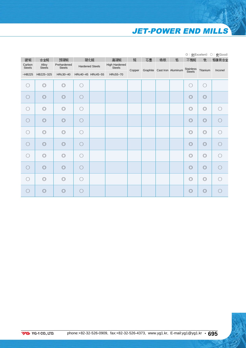# **JET-POWER END MILLS**

|                         |                        |                              |     |                        |                                |        |    |    |                             |                     |                | ◎: 优(Excellent) ○: 良(Good) |
|-------------------------|------------------------|------------------------------|-----|------------------------|--------------------------------|--------|----|----|-----------------------------|---------------------|----------------|----------------------------|
| 碳钢                      | 合金钢                    | 预硬钢                          |     | 硬化钢                    | 高硬钢                            | 铜      | 石墨 | 铸铁 | 铝                           | 不锈钢                 | 钛              | 铬镍铁合金                      |
| Carbon<br><b>Steels</b> | Alloy<br><b>Steels</b> | Prehardened<br><b>Steels</b> |     | <b>Hardened Steels</b> | High Hardened<br><b>Steels</b> |        |    |    |                             |                     |                |                            |
| $-HB225$                | HB225~325              | HRc30~40                     |     | HRc40~45 HRc45~55      | HRc55~70                       | Copper |    |    | Graphite Cast Iron Aluminum | Stainless<br>Steels | Titanium       | Inconel                    |
| $\bigcirc$              | $\circledcirc$         | $\circledcirc$               | ( ) |                        |                                |        |    |    |                             | $\bigcirc$          | 0              |                            |
| $\bigcirc$              | $\circledcirc$         | $\circledcirc$               | ∩   |                        |                                |        |    |    |                             | $\circledcirc$      | $\circledcirc$ |                            |
| $\bigcirc$              | $\circledcirc$         | $\circledcirc$               | ∩   |                        |                                |        |    |    |                             | $\circledcirc$      | $\circledcirc$ | ∩                          |
| $\bigcirc$              | $\circledcirc$         | $\circledcirc$               | ( ) |                        |                                |        |    |    |                             | $\circledcirc$      | $\circledcirc$ |                            |
| $\bigcirc$              | $\circledcirc$         | $\circledcirc$               | ∩   |                        |                                |        |    |    |                             | $\circledcirc$      | $\circledcirc$ |                            |
| $\bigcirc$              | $\circledcirc$         | $\circledcirc$               | ∩   |                        |                                |        |    |    |                             | $\circledcirc$      | $\circledcirc$ | ∩                          |
| $\bigcirc$              | $\circledcirc$         | $\circledcirc$               | ∩   |                        |                                |        |    |    |                             | $\circledcirc$      | $\circledcirc$ | ∩                          |
| $\bigcirc$              | $\circledcirc$         | $\circledcirc$               | ∩   |                        |                                |        |    |    |                             | $\circledcirc$      | $\circledcirc$ | ∩                          |
| $\bigcirc$              | $\circledcirc$         | $\circledcirc$               | ( ) |                        |                                |        |    |    |                             | $\circledcirc$      | $\circledcirc$ | ∩                          |
| ○                       | $\circledcirc$         | $\circledcirc$               | ( ) |                        |                                |        |    |    |                             | $\circledcirc$      | $\circledcirc$ |                            |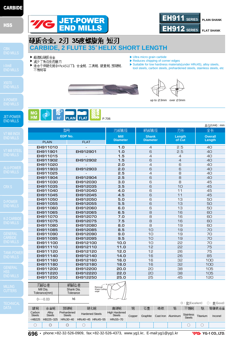

JET-POWER END MILLS

MILLING





**FLAT SHANK** 

# 硬质合金, 2刃 35度螺旋角 短刃 **CARBIDE, 2 FLUTE 35。HELIX SHORT LENGTH**

▶ 超微粒硬质合金

 $MG$ 

 $\rightarrow$ 

- ▶ 减少了角边处的崩刃
- ▶ 适合于低硬化钢(HRc45以下), 合金钢, 工具钢, 碳素钢, 预硬钢, 不锈钢等
- ▶Ultra micro grain carbide
- ▶ Reduces chipping of corner edges
- ▶Suitable for low hardness materials(under HRc45), alloy steels, tool steels, carbon steels, prehardened steels, stainless steels, etc





up to Ø3mm over Ø3mm

|              | 型号          | 刃部直径                           | 柄部直径                            | 刃长               | 单位(Unit): mm<br>全长       |
|--------------|-------------|--------------------------------|---------------------------------|------------------|--------------------------|
|              | EDP No.     |                                |                                 |                  |                          |
| <b>PLAIN</b> | <b>FLAT</b> | <b>Mill</b><br><b>Diameter</b> | <b>Shank</b><br><b>Diameter</b> | Length<br>of Cut | <b>Overall</b><br>Length |
| EH911010     |             | 1.0                            | $\overline{4}$                  | 2.5              | 40                       |
| EH911901     | EH912901    | 1.0                            | 6                               | 2.5              | 40                       |
| EH911015     |             | 1.5                            | $\overline{4}$                  | $\overline{4}$   | 40                       |
| EH911902     | EH912902    | 1.5                            | 6                               | $\overline{4}$   | 40                       |
| EH911020     |             | 2.0                            | $\overline{4}$                  | $\overline{6}$   | 40                       |
| EH911903     | EH912903    | 2.0                            | $\overline{6}$                  | 6                | 40                       |
| EH911025     |             | 2.5                            | $\overline{4}$                  | 8                | 40                       |
| EH911904     | EH912904    | 2.5                            | 6                               | 8                | 40                       |
| EH911030     | EH912030    | 3.0                            | 6                               | 8                | 45                       |
| EH911035     | EH912035    | 3.5                            | $\overline{6}$                  | 10               | 45                       |
| EH911040     | EH912040    | 4.0                            | 6                               | 11               | 45                       |
| EH911045     | EH912045    | 4.5                            | $\overline{6}$                  | 11               | 45                       |
| EH911050     | EH912050    | 5.0                            | 6                               | 13               | 50                       |
| EH911055     | EH912055    | 5.5                            | 6                               | 13               | 50                       |
| EH911060     | EH912060    | 6.0                            | 6                               | 13               | 50                       |
| EH911065     | EH912065    | 6.5                            | 8                               | 16               | 60                       |
| EH911070     | EH912070    | 7.0                            | $\overline{8}$                  | 16               | 60                       |
| EH911075     | EH912075    | 7.5                            | $\overline{8}$                  | 16               | 60                       |
| EH911080     | EH912080    | 8.0                            | 8                               | 19               | 60                       |
| EH911085     | EH912085    | 8.5                            | 10                              | 19               | 70                       |
| EH911090     | EH912090    | 9.0                            | 10                              | 19               | 70                       |
| EH911095     | EH912095    | 9.5                            | 10                              | 19               | 70                       |
| EH911100     | EH912100    | 10.0                           | 10                              | 55               | 70                       |
| EH911110     | EH912110    | 11.0                           | 12                              | 22               | 75                       |
| EH911120     | EH912120    | 12.0                           | 12                              | 26               | 75                       |
| EH911140     | EH912140    | 14.0                           | 16                              | 26               | 85                       |
| EH911160     | EH912160    | 16.0                           | 16                              | 32               | 100                      |
| EH911180     | EH912180    | 18.0                           | 16                              | 32               | 100                      |
| EH911200     | EH912200    | 20.0                           | 20                              | 38               | 105                      |
| EH911220     | EH912220    | 22.0                           | 20                              | 38               | 105                      |
| EH911250     | EH912250    | 25.0                           | 25                              | 45               | 120                      |



|                         | $0 \sim -0.03$         | h6                           |                        |                   |                                       |        |          |    |                    |                                   |          |            |
|-------------------------|------------------------|------------------------------|------------------------|-------------------|---------------------------------------|--------|----------|----|--------------------|-----------------------------------|----------|------------|
|                         |                        |                              |                        |                   |                                       |        |          |    |                    | ◎:优(Excellent)                    |          | ○: 良(Good) |
| 碳钢                      | 合金钢                    | 预硬钢                          |                        | 硬化钢               | 高硬钢                                   | 铜      | 石墨       | 铸铁 | 铝                  | 不锈钢                               | 钛        | 铬镍铁合金      |
| Carbon<br><b>Steels</b> | Allov<br><b>Steels</b> | Prehardened<br><b>Steels</b> | <b>Hardened Steels</b> |                   | <b>High Hardened</b><br><b>Steels</b> | Copper | Graphite |    | Cast Iron Aluminum | <b>Stainless</b><br><b>Steels</b> | Titanium | Inconel    |
| $-HB225$                | HB225~325              | HRc30~40                     |                        | HRc40~45 HRc45~55 | HRc55~70                              |        |          |    |                    |                                   |          |            |
| Э                       | O                      | O                            |                        |                   |                                       |        |          |    |                    |                                   |          |            |



Mill Dia. Tolerance(mm)

**696 •** phone:+82-32-526-0909, fax:+82-32-526-4373, www.yg1.kr, E-mail:yg1@yg1.kr

**7/G** YG-1 CO., LTD.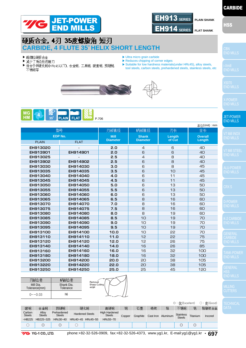



## 硬质合金 4刃 35度螺旋角 短刃 **CARBIDE, 4 FLUTE 35**。**HELIX SHORT LENGTH**

- ▶ 超微粒硬质合金
- ▶ 减少了角边处的崩刃
- ▶ 适合于低硬化钢(H Rc45以下), 合金钢, 工具钢, 碳素钢, 预硬钢, 不锈钢等
- ▶Ultra micro grain carbide
- 
- 
- ▶ Reduces chipping of corner edges
- ▶ Suitable for low hardness materials(under HRc45), alloy steels, tool steels, carbon steels, prehardened steels, stainless steels, etc







|                         |             |                                |                                 |                  | 单位(Unit): mm             |                                                   |
|-------------------------|-------------|--------------------------------|---------------------------------|------------------|--------------------------|---------------------------------------------------|
| 型号                      |             | 刃部直径                           | 柄部直径                            | 刃长               | 全长                       |                                                   |
| EDP No.<br><b>PLAIN</b> | <b>FLAT</b> | <b>Mill</b><br><b>Diameter</b> | <b>Shank</b><br><b>Diameter</b> | Length<br>of Cut | <b>Overall</b><br>Length | $V\bar{7}$ Mi $\bar{1}\bar{1}$ I<br><b>END MI</b> |
| EH913020                |             | 2.0                            | $\overline{4}$                  | 6                | 40                       |                                                   |
| EH913901                | EH914901    | 2.0                            | 6                               | 6                | 40                       | V7 Mill :                                         |
| EH913025                |             | 2.5                            | $\overline{a}$                  | 8                | 40                       | <b>END MI</b>                                     |
| EH913902                | EH914902    | 2.5                            | 6                               | 8                | 40                       |                                                   |
| EH913030                | EH914030    | 3.0                            | 6                               | 8                | 45                       | <b>ALU-PC</b>                                     |
| EH913035                | EH914035    | 3.5                            | 6                               | 10               | 45                       | <b>END MI</b>                                     |
| EH913040                | EH914040    | 4.0                            | 6                               | 11               | 45                       |                                                   |
| EH913045                | EH914045    | 4.5                            | 6                               | 11               | 45                       |                                                   |
| EH913050                | EH914050    | 5.0                            | 6                               | 13               | 50                       | CRX S                                             |
| EH913055                | EH914055    | 5.5                            | 6                               | 13               | 50                       |                                                   |
| EH913060                | EH914060    | 6.0                            | 6                               | 13               | 50                       |                                                   |
| EH913065                | EH914065    | 6.5                            | 8                               | 16               | 60                       | D-POW                                             |
| EH913070                | EH914070    | 7.0                            | 8                               | 16               | 60                       | <b>END MI</b>                                     |
| EH913075                | EH914075    | 7.5                            | 8                               | 16               | 60                       |                                                   |
| EH913080                | EH914080    | 8.0                            | 8                               | 19               | 60                       |                                                   |
| EH913085                | EH914085    | 8.5                            | 10                              | 19               | 70                       | K-2 CAI                                           |
| EH913090                | EH914090    | 9.0                            | 10                              | 19               | 70                       | <b>END MI</b>                                     |
| EH913095                | EH914095    | 9.5                            | 10                              | 19               | 70                       |                                                   |
| EH913100                | EH914100    | 10.0                           | 10                              | 22               | 70                       | <b>GENER</b>                                      |
| EH913110                | EH914110    | 11.0                           | 12                              | 22               | 75                       | <b>CARBIL</b>                                     |
| EH913120                | EH914120    | 12.0                           | 12                              | 26               | 75                       | <b>END MI</b>                                     |
| EH913140                | EH914140    | 14.0                           | 16                              | 26               | 85                       |                                                   |
| EH913160                | EH914160    | 16.0                           | 16                              | 32               | 100                      | <b>TANK-F</b>                                     |
| EH913180                | EH914180    | 18.0                           | 16                              | 32               | 100                      | <b>END MI</b>                                     |
| EH913200                | EH914200    | 20.0                           | 20                              | 38               | 105                      |                                                   |
| EH913220                | EH914220    | 22.0                           | 20                              | 38               | 105                      | GENER                                             |
| EH913250                | EH914250    | 25.0                           | 25                              | 45               | 120                      |                                                   |





|                                                                                                                                                                                                  |                     |          | ◎:优(Excellent) ○:良(Good) |
|--------------------------------------------------------------------------------------------------------------------------------------------------------------------------------------------------|---------------------|----------|--------------------------|
| 铸铁<br>碳钢<br>合金钢<br>铜<br>铝<br>预硬钢<br>硬化钢<br>石墨<br>高硬钢                                                                                                                                             | 不锈钢                 | 뜏        | 铬镍铁合金                    |
| Carbon<br><b>High Hardened</b><br>Prehardened<br>Alloy<br><b>Hardened Steels</b><br><b>Steels</b><br><b>Steels</b><br><b>Steels</b><br><b>Steels</b><br>Cast Iron Aluminum<br>Graphite<br>Copper | Stainless<br>Steels | Titanium | Inconel                  |
| HB225~325<br>HRc30~40<br>HRc40~45 HRc45~55<br>$-HB225$<br>HRc55~70                                                                                                                               |                     |          |                          |
| O<br>O                                                                                                                                                                                           | O                   | U        |                          |

END MILLS

END MILLS

JET-POWER END MILLS

END MILLS

END MILLS

HSS END MILLS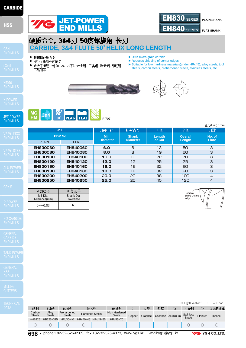

▶ 超微粒硬质合金 ▶ 减少了角边处的崩刃

不锈钢等

**MG** 

**HM** 

**EH830060 EH830080 EH830100 EH830120 EH830160 EH830180 EH830200 EH830250**

3&4

Mill Dia. Tolerance(mm)  $0 \sim -0.03$ 

刃部公差

**EDP No.** PLAIN **FLAT** 

型号

 $50^{\circ}$ 

JET-POWER END MILLS

**CARBIDE** 

MILLING

|                         |                        |                              |                                                |          |        |          |                    |   | ◯ : 什(Excellent)                  |          | ○:良(Good) |
|-------------------------|------------------------|------------------------------|------------------------------------------------|----------|--------|----------|--------------------|---|-----------------------------------|----------|-----------|
| 碳钢                      | 合金钢                    | 预硬钢                          | 硬化钢                                            | 高硬钢      | 铜      | 石墨       | 铸铁                 | 铝 | 不锈钢                               | 뜏        | 铬镍铁合金     |
| Carbon<br><b>Steels</b> | Alloy<br><b>Steels</b> | Prehardened<br><b>Steels</b> | <b>High Hardened</b><br><b>Hardened Steels</b> |          | Copper | Graphite | Cast Iron Aluminum |   | <b>Stainless</b><br><b>Steels</b> | Titanium | Inconel   |
| $-HB225$                | HB225~325              | HRc30~40                     | HRc40~45 HRc45~55                              | HRc55~70 |        |          |                    |   |                                   |          |           |
|                         | $\circledcirc$         | U                            |                                                |          |        |          |                    |   |                                   | U        |           |
|                         |                        |                              |                                                |          |        |          |                    |   |                                   |          |           |





**Shank Diameter**

柄部直径



**No. of Flute**

刃数

(Unit) : mm

- ▶Ultra micro grain carbide ▶ Reduces chipping of corner edges
- ▶ 适合于低硬化钢(HRc45以下), 合金钢, 工具钢, 碳素钢, 预硬钢, ▶Suitable for low hardness materials(under HRc45), alloy steels, tool steels, carbon steels, prehardened steels, stainless steels, etc



P.707

**6.0 8.0 10.0 12.0 16.0 18.0 20.0 25.0**

**Mill Diameter**

刃部直径

**CARBIDE, 3&4 FLUTE 50**。**HELIX LONG LENGTH**

JET-POWER

硬质合金, 3&4刃 50度螺旋角 长刃

**EH840060 EH840080 EH840100 EH840120 EH840160 EH840180 EH840200 EH840250**

**PLAIN** FLAT

Shank Dia. **Tolerance** h6

柄部公差



**Length of Cut**

刃长

**Overall Length**

全长

EH830 **SERIES PLAIN SHANK**

**FLAT SHANK** 

**698 •** phone:+82-32-526-0909, fax:+82-32-526-4373, www.yg1.kr, E-mail:yg1@yg1.kr

**7/G** YG-1 CO., LTD.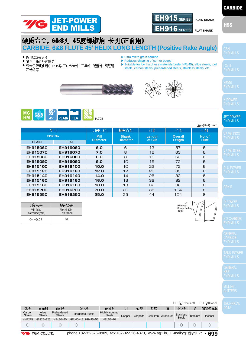



# END MILLS



END MILLS

#### JET-POWER END MILLS



END MILLS

HSS END MILLS

Stainless Titanium Inconel

不锈钢

◎ : (Excellent) ◯ : (Good)

钛

铬镍铁合金

| 不锈钢等                               |                                 |                                |                                 | steels, carbon steels, prehardened steels, stainless steels, etc |                                  |                        |  |  |  |
|------------------------------------|---------------------------------|--------------------------------|---------------------------------|------------------------------------------------------------------|----------------------------------|------------------------|--|--|--|
|                                    |                                 |                                |                                 |                                                                  |                                  |                        |  |  |  |
| MG<br>HM<br>6&8<br>$45^\circ$      | PLAIN FLAT                      | P.708                          |                                 |                                                                  |                                  | 单位(Unit): mm           |  |  |  |
|                                    | 型号                              | 刃部直径                           | 柄部直径                            | 刃长                                                               | 全长                               | 刃数                     |  |  |  |
|                                    | EDP No.                         | <b>Mill</b><br><b>Diameter</b> | <b>Shank</b><br><b>Diameter</b> | Length<br>of Cut                                                 | <b>Overall</b><br>Length         | No. of<br><b>Flute</b> |  |  |  |
| <b>PLAIN</b>                       | <b>FLAT</b>                     |                                |                                 |                                                                  |                                  |                        |  |  |  |
| EH915060                           | EH916060                        | 6.0                            | 6                               | 13                                                               | 57                               | 6                      |  |  |  |
| EH915070                           | EH916070                        | 7.0                            | 8                               | 16                                                               | 63                               | 6                      |  |  |  |
| EH915080                           | EH916080                        | 8.0                            | 8                               | 19                                                               | 63                               | 6                      |  |  |  |
| EH915090                           | EH916090                        | 9.0                            | 10                              | 19                                                               | 72                               | 6                      |  |  |  |
| EH915100                           | EH916100                        | 10.0                           | 1 <sub>O</sub>                  | 22                                                               | 72                               | 6                      |  |  |  |
| EH915120                           | EH916120                        | 12.0                           | 12                              | 26                                                               | 83                               | 6                      |  |  |  |
| EH915140                           | EH916140                        | 14.0                           | 14                              | 26                                                               | 83                               | 6                      |  |  |  |
| EH915160                           | EH916160                        | 16.0                           | 16                              | 32                                                               | 92                               | 6                      |  |  |  |
| EH915180                           | EH916180                        | 18.0                           | 18                              | 32                                                               | 92                               | 8                      |  |  |  |
| EH915200                           | EH916200                        | 20.0                           | 20                              | 38                                                               | 104                              | 8                      |  |  |  |
| EH915250                           | EH916250                        | 25.0                           | 25                              | 44                                                               | 104                              | 8                      |  |  |  |
| 刃部公差<br>Mill Dia.<br>Tolerance(mm) | 柄部公差<br>Shank Dia.<br>Tolerance |                                |                                 |                                                                  | Removal<br>Sharp Cutting<br>edge |                        |  |  |  |
| $0 \sim -0.03$                     | h <sub>6</sub>                  |                                |                                 |                                                                  |                                  |                        |  |  |  |



▶ 超微粒硬质合金

Carbon Steels

碳钢

Alloy Steels

**YG** YG-1 CO., LTD.

合金钢

~HB225 HB225~325 HRc30~40 HRc40~45 HRc45~55 HRc55~70

Prehardened **Steels** 

预硬钢

- ▶ 减少了角边处的崩刃
- ▶ 适合于低硬化钢(H Rc45以下), 合金钢, 工具钢, 碳素钢, 预硬钢,
- ▶Ultra micro grain carbide
- ▶ Reduces chipping of corner edges

phone:+82-32-526-0909, fax:+82-32-526-4373, www.yg1.kr, E-mail:yg1@yg1.kr **• 699**

石墨

Copper Graphite Cast Iron Aluminum Stainles

铸铁

铝

○ ◎ ◎ ○ ◎◎ ○

铜

Steels

高硬钢

Hardened Steels High Hardened

硬化钢

- 
- 
- ▶ Suitable for low hardness materials(under HRc45), alloy steels, tool steels, carbon steels, prehardened steels, stainless steels, etc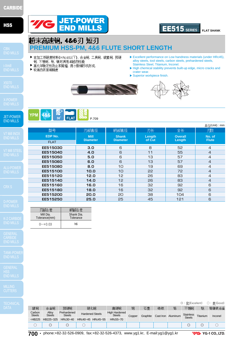JET-POWER END MILLS

**CARBIDE** 

MILLING

# JET-POWER **EE515** SERIES

### **FLAT SHANK**

# 粉末高速钢, 4&6刃短刃

## **PREMIUM HSS-PM, 4&6 FLUTE SHORT LENGTH**

- ▶ 在加工低硬度材料(HRc45以下), 合金钢, 工具钢, 碳素钢, 预硬 钢, 不锈钢, 钛, 镍时具有卓越的性能
- ▶ 高化学稳定性防止积屑瘤, 微小裂缝凹坑形成.
- ▶ 较高的表面粗糙度
- ▶Excellent performance on Low handness materials (under HRc45), alloy steels, tool steels, carbon steels, prehardened steels, Stainless Steel, Titanium, lnconel.
- ▶High chemical stability prevents built-up edge, micro cracks and crater wear.
- ▶Superior workpiece finish.





#### **YPM** 4&6  $30<sup>°</sup>$ **FLAT** P.709

|                             |                |                 |                 |        |                | 单位(Unit): mm   |
|-----------------------------|----------------|-----------------|-----------------|--------|----------------|----------------|
|                             | 型号             | 刃部直径            | 柄部直径            | 刃长     | 全长             | 死数             |
| <b>INOX</b><br>ILLS         | <b>EDP No.</b> | <b>Mill</b>     | <b>Shank</b>    | Length | <b>Overall</b> | No. of         |
|                             | <b>FLAT</b>    | <b>Diameter</b> | <b>Diameter</b> | of Cut | Length         | <b>Flute</b>   |
|                             | EE515030       | 3.0             | 6               | 8      | 52             | $\overline{4}$ |
| <b>STEEL</b><br><b>ILLS</b> | EE515040       | 4.0             | 6               | 11     | 55             | $\overline{4}$ |
|                             | EE515050       | 5.0             | 6               | 13     | 57             | $\overline{4}$ |
|                             | EE515060       | 6.0             | 6               | 13     | 57             | $\overline{4}$ |
| OWER                        | EE515080       | 8.0             | 10              | 19     | 69             | 4              |
| ILLS                        | EE515100       | 10.0            | 10              | 55     | 72             | $\overline{4}$ |
|                             | EE515120       | 12.0            | 12              | 26     | 83             | 4              |
|                             | EE515140       | 14.0            | 12              | 26     | 83             | $\overline{4}$ |
|                             | EE515160       | 16.0            | 16              | 32     | 92             | 6              |
|                             | EE515180       | 18.0            | 16              | 32     | 92             | 6              |
|                             | EE515200       | 20.0            | 20              | 38     | 104            | 6              |
| /FR                         | EE515250       | 25.0            | 25              | 45     | 121            | 6              |

| 刃部公差                       | 柄部公差                    |
|----------------------------|-------------------------|
| Mill Dia.<br>Tolerance(mm) | Shank Dia.<br>Tolerance |
| $0 - +0.03$                | h6                      |

◎ : 优(Excellent) ○ : 良(Good) 铬镍铁合金 不锈钢 碳钢 合金钢 预硬钢 硬化钢 高硬钢 铜 石墨 铸铁 | 铝 钛 Hardened Steels High Hardened Carbon Steels Alloy Steels Prehardened Steels Copper Graphite Cast Iron Aluminum Stainless Steels Stainless Titanium Inconel ~HB225 HB225~325 HRc30~40 HRc40~45 HRc45~55 HRc55~70 ○ ◎ ◎ ○ ◎◎ ○

**700 •** phone:+82-32-526-0909, fax:+82-32-526-4373, www.yg1.kr, E-mail:yg1@yg1.kr

**VG** YG-1 CO., LTD.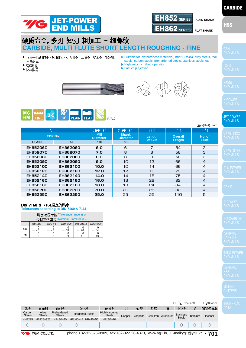



## 硬质合金,多刃短刃粗加工 - 细螺纹 **CARBIDE, MULTI FLUTE SHORT LENGTH ROUGHING - FINE**

- ▶ 适合于低硬化钢(H Rc45以下), 合金钢, 工具钢, 碳素钢, 预硬钢, 不锈钢等
- ▶高速铣削
- ▶快速排屑
- ▶Suitable for low hardness materials(under HRc45), alloy steels, tool steels, carbon steels, prehardened steels, stainless steels, etc ▶High velocity milling operation.
- ▶ Fast chip ejection.





|           |  | <b>Parties</b> |                              |  |  |
|-----------|--|----------------|------------------------------|--|--|
| <b>HM</b> |  |                | FINE 30° PLAIN FLAT 22 P.710 |  |  |

|                |             |                                |                                           |        |                | 单位(Unit): mm           |
|----------------|-------------|--------------------------------|-------------------------------------------|--------|----------------|------------------------|
| 型号             |             | 刃部直径                           | 柄部直径                                      | 刃长     | 全长             | 刃数                     |
| <b>EDP No.</b> |             | <b>Mill</b><br><b>Diameter</b> | <b>Shank</b><br>Length<br><b>Diameter</b> |        | <b>Overall</b> | No. of<br><b>Flute</b> |
| <b>PLAIN</b>   | <b>FLAT</b> | h10                            | h6                                        | of Cut | Length         |                        |
| EH852060       | EH862060    | 6.0                            | 6                                         | 7      | 54             | З                      |
| EH852070       | EH862070    | 7.0                            | 8                                         | 8      | 58             | 3                      |
| EH852080       | EH862080    | 8.0                            | 8                                         | 9      | 58             | З                      |
| EH852090       | EH862090    | 9.0                            | 10                                        | 13     | 66             | $\overline{4}$         |
| EH852100       | EH862100    | 10.0                           | 1 <sub>O</sub>                            | 14     | 66             | 4                      |
| EH852120       | EH862120    | 12.0                           | 12                                        | 16     | 73             | $\overline{4}$         |
| EH852140       | EH862140    | 14.0                           | 14                                        | 18     | 75             | 4                      |
| EH852160       | EH862160    | 16.0                           | 16                                        | 22     | 82             | $\overline{4}$         |
| EH852180       | EH862180    | 18.0                           | 18                                        | 24     | 84             | 4                      |
| EH852200       | EH862200    | 20.0                           | 20                                        | 26     | 92             | $\overline{4}$         |
| EH852250       | EH862250    | 25.0                           | 25                                        | 25     | 110            | 5                      |

#### DIN 7160 & 7161规定的精度 **Tolerances according to DIN 7160 & 7161**

|                               |             |                                                               | 精度范围单位/Tolerance range in $\mu$ m |    |    |  |  |  |  |  |  |  |  |
|-------------------------------|-------------|---------------------------------------------------------------|-----------------------------------|----|----|--|--|--|--|--|--|--|--|
| 公称直径单位/Nominal-Diameter in mm |             |                                                               |                                   |    |    |  |  |  |  |  |  |  |  |
|                               | from 1 to 3 | over 3 to 6<br>over 10 to 18<br>over 18 to 30<br>over 6 to 10 |                                   |    |    |  |  |  |  |  |  |  |  |
| h10                           |             | 48                                                            | 58                                | 70 | 84 |  |  |  |  |  |  |  |  |
| h6                            |             |                                                               |                                   |    |    |  |  |  |  |  |  |  |  |

HSS

|                         |                                                                                                                                               |                              |                        |            |                                       |        |          |           |          | $\odot$ : $\frac{1}{2}$ (Excellent) |                 | $\bigcirc$ : 良(Good) |
|-------------------------|-----------------------------------------------------------------------------------------------------------------------------------------------|------------------------------|------------------------|------------|---------------------------------------|--------|----------|-----------|----------|-------------------------------------|-----------------|----------------------|
| 碳钢                      | 合金钢                                                                                                                                           | 预硬钢                          |                        | 硬化钢<br>高硬钢 |                                       | 铜      | 石墨       | 铸铁        | 铝        | 不锈钢                                 | 쓗               | 铬镍铁合金                |
| Carbon<br><b>Steels</b> | Alloy<br><b>Steels</b>                                                                                                                        | Prehardened<br><b>Steels</b> | <b>Hardened Steels</b> |            | <b>High Hardened</b><br><b>Steels</b> | Copper | Graphite | Cast Iron | Aluminum | <b>Stainless</b><br><b>Steels</b>   | Titanium        | Inconel              |
| $-HB225$                | HB225~325                                                                                                                                     | HRc30~40                     | HRc40~45 HRc45~55      |            | HRc55~70                              |        |          |           |          |                                     |                 |                      |
|                         | $\circledcirc$                                                                                                                                | $\mathbb{O}$                 |                        |            |                                       |        |          |           |          |                                     | $_{\mathbb{O}}$ |                      |
|                         | $\sim$<br>-- -<br>. .<br>$\sim$ $\sim$ $\sim$ $\sim$ $\sim$ $\sim$ $\sim$<br>0.000000000<br>. .<br>$\overline{\phantom{0}}$<br>. .<br>_____ _ |                              |                        |            |                                       |        |          |           |          |                                     |                 |                      |

| <b>YG YG 1 CO., LTD.</b> |  |  |  |
|--------------------------|--|--|--|
|--------------------------|--|--|--|

phone:+82-32-526-0909, fax:+82-32-526-4373, www.yg1.kr, E-mail:yg1@yg1.kr **• 701**

END MILLS

END MILLS

JET-POWER END MILLS

END MILLS

END MILLS

END MILLS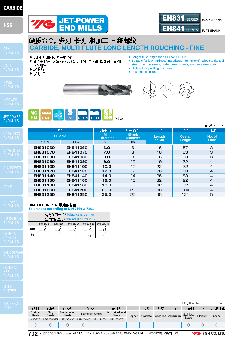

JET-POWER END MILLS

**CARBIDE** 

MILLING



**VG** YG-1 CO., LTD.

硬质合金, 多刃 长刃 粗加工 - 细螺纹 **CARBIDE, MULTI FLUTE LONG LENGTH ROUGHING - FINE**

#### ▶ 比EH852,EH862更长的沟槽

▶高速铣削 ▶快速排屑

▶ 适合于低硬化钢(HRc45以下), 合金钢, 工具钢, 碳素钢, 预硬钢, 不锈钢等

JET-POWER

- ▶Longer flute length than EH852, EH862. ▶ Suitable for low hardness materials(under HRc45), alloy steels, tool
- steels, carbon steels, prehardened steels, stainless steels, etc.

**FLAT SHANK** 

EH831 **SERIES PLAIN SHANK**

- ▶ High velocity milling operation.
- ▶ Fast chip ejection.





**MG**  $3 - 5$ **HM FINE**  $30^{\circ}$ **PLAIN** FLAT

|              |             |                                |                                 |                  |                | 单位(Unit): mm           |
|--------------|-------------|--------------------------------|---------------------------------|------------------|----------------|------------------------|
|              | 型号          | 刃部直径                           | 柄部直径                            | 刃长               | 全长             | 刃数                     |
|              | EDP No.     | <b>Mill</b><br><b>Diameter</b> | <b>Shank</b><br><b>Diameter</b> | Length<br>of Cut | <b>Overall</b> | No. of<br><b>Flute</b> |
| <b>PLAIN</b> | <b>FLAT</b> | h10                            | h6                              |                  | Length         |                        |
| EH831060     | EH841060    | 6.0                            | 6                               | 16               | 57             | З                      |
| EH831070     | EH841070    | 7.0                            | 8                               | 16               | 63             | 3                      |
| EH831080     | EH841080    | 8.0                            | 8                               | 16               | 63             | 3                      |
| EH831090     | EH841090    | 9.0                            | 10                              | 19               | 72             | $\overline{4}$         |
| EH831100     | EH841100    | 10.0                           | 1 <sup>O</sup>                  | 22               | 72             | $\overline{4}$         |
| EH831120     | EH841120    | 12.0                           | 1 <sub>2</sub>                  | 26               | 83             | 4                      |
| EH831140     | EH841140    | 14.0                           | 14                              | 26               | 83             | 4                      |
| EH831160     | EH841160    | 16.0                           | 16                              | 32               | 92             | $\overline{4}$         |
| EH831180     | EH841180    | 18.0                           | 18                              | 32               | 92             | 4                      |
| EH831200     | EH841200    | 20.0                           | 20                              | 38               | 104            | $\overline{4}$         |
| EH831250     | EH841250    | 25.0                           | 25                              | 45               | 121            | 5                      |

P.710

#### DIN 7160 & 7161规定的精度 **Tolerances according to DIN 7160 & 7161**

|     | 精度范围单位/Tolerance range in $\mu$ m |                                                               |    |  |    |  |  |  |  |  |  |  |  |
|-----|-----------------------------------|---------------------------------------------------------------|----|--|----|--|--|--|--|--|--|--|--|
|     | 公称直径单位/Nominal-Diameter in mm     |                                                               |    |  |    |  |  |  |  |  |  |  |  |
|     | from 1 to 3                       | over 10 to 18<br>over 6 to 10<br>over 3 to 6<br>over 18 to 30 |    |  |    |  |  |  |  |  |  |  |  |
| h10 |                                   |                                                               | 58 |  | 84 |  |  |  |  |  |  |  |  |
| h6  |                                   |                                                               |    |  |    |  |  |  |  |  |  |  |  |

◎ : 优(Excellent) ○ : 良(Good)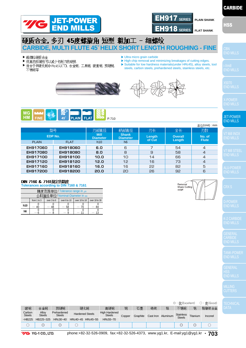



# **<br>
THE FIRE TO THE READER THE AS THE AS HORT LENGTH ROUGHING - FINE**<br>
CARBIDE, MULTI FLUTE 45° HELIX SHORT LENGTH ROUGHING - FINE

- ▶ 超微粒硬质合金
- ▶ 很高的排屑性可以减少切削刃的破损
- ▶ 适合于低硬化钢(H Rc45以下), 合金钢, 工具钢, 碳素钢, 预硬钢, 不锈钢等
- ▶Ultra micro grain carbide
- $\blacktriangleright$  High chip removal and minimizing breakages of cutting edges. ▶ Suitable for low hardness materials(under HRc45), alloy steels, tool steels, carbon steels, prehardened steels, stainless steels, etc.
- 





|                             |          |                                |                                 |        |                | 单位(Unit): mm   |
|-----------------------------|----------|--------------------------------|---------------------------------|--------|----------------|----------------|
|                             | 型号       | 刃部直径                           | 柄部直径                            | 刃长     | 全长             | 刃数             |
| EDP No.                     |          | <b>Mill</b><br><b>Diameter</b> | <b>Shank</b><br><b>Diameter</b> | Length | <b>Overall</b> | No. of         |
| <b>FLAT</b><br><b>PLAIN</b> |          | h10                            | h <sub>6</sub>                  | of Cut | Length         | <b>Flute</b>   |
| EH917060                    | EH918060 | 6.0                            | 6                               | ⇁      | 54             | $\overline{4}$ |
| EH917080                    | EH918080 | 8.0                            | 8                               | 9      | 58             | $\overline{4}$ |
| EH917100                    | EH918100 | 10.0                           | 10                              | 14     | 66             | $\overline{4}$ |
| EH917120                    | EH918120 | 12.0                           | 12                              | 16     | 73             | $\overline{4}$ |
| EH917160                    | EH918160 | 16.0                           | 16                              | 22     | 82             | 5              |
| EH917200                    | EH918200 | 20.0                           | 20                              | 26     | 92             | 6              |

#### DIN 7160 & 7161规定的精度

**Tolerances according to DIN 7160 & 7161**

|                               |             |                                                               | 精度范围单位/Tolerance range in μm |  |  |  |  |  |  |  |  |  |  |
|-------------------------------|-------------|---------------------------------------------------------------|------------------------------|--|--|--|--|--|--|--|--|--|--|
| 公称直径单位/Nominal-Diameter in mm |             |                                                               |                              |  |  |  |  |  |  |  |  |  |  |
|                               | from 1 to 3 | over 10 to 18<br>over 6 to 10<br>over 3 to 6<br>over 18 to 30 |                              |  |  |  |  |  |  |  |  |  |  |
| <b>h10</b>                    |             |                                                               | 58                           |  |  |  |  |  |  |  |  |  |  |
| h6                            |             |                                                               |                              |  |  |  |  |  |  |  |  |  |  |

Removal<br>Sharp Cutting edge

END MILLS

END MILLS

**CARBIDE** 

HSS END MILLS

|                         |                                                                                                                                                                                                                                                                                                                                                                                                                                                                                                                                                                                                                                                                                                                                  |                              |  |                                                                 |          |        |          |    |                    |                  |          | ◎:优(Excellent) ○:良(Good) |
|-------------------------|----------------------------------------------------------------------------------------------------------------------------------------------------------------------------------------------------------------------------------------------------------------------------------------------------------------------------------------------------------------------------------------------------------------------------------------------------------------------------------------------------------------------------------------------------------------------------------------------------------------------------------------------------------------------------------------------------------------------------------|------------------------------|--|-----------------------------------------------------------------|----------|--------|----------|----|--------------------|------------------|----------|--------------------------|
| 碳钢                      | 合金钢                                                                                                                                                                                                                                                                                                                                                                                                                                                                                                                                                                                                                                                                                                                              | 预硬钢                          |  | 硬化钢<br>高硬钢                                                      |          | 铜      | 石墨       | 铸铁 | 铝                  | 不锈钢              | 뜏        | 铬镍铁合金                    |
| Carbon<br><b>Steels</b> | Alloy<br><b>Steels</b>                                                                                                                                                                                                                                                                                                                                                                                                                                                                                                                                                                                                                                                                                                           | Prehardened<br><b>Steels</b> |  | <b>High Hardened</b><br><b>Hardened Steels</b><br><b>Steels</b> |          | Copper | Graphite |    | Cast Iron Aluminum | <b>Stainless</b> | Titanium | Inconel                  |
| $-HB225$                | HB225~325                                                                                                                                                                                                                                                                                                                                                                                                                                                                                                                                                                                                                                                                                                                        | HRc30~40                     |  | HRc40~45 HRc45~55                                               | HRc55~70 |        |          |    |                    | <b>Steels</b>    |          |                          |
|                         |                                                                                                                                                                                                                                                                                                                                                                                                                                                                                                                                                                                                                                                                                                                                  |                              |  |                                                                 |          |        |          |    |                    |                  |          |                          |
|                         | =^^<br>$\mathsf{L}_{\mathsf{L}}$ $\mathsf{L}_{\mathsf{L}}$ $\mathsf{L}_{\mathsf{L}}$ $\mathsf{L}_{\mathsf{L}}$ $\mathsf{L}_{\mathsf{L}}$ $\mathsf{L}_{\mathsf{L}}$ $\mathsf{L}_{\mathsf{L}}$ $\mathsf{L}_{\mathsf{L}}$ $\mathsf{L}_{\mathsf{L}}$ $\mathsf{L}_{\mathsf{L}}$ $\mathsf{L}_{\mathsf{L}}$ $\mathsf{L}_{\mathsf{L}}$ $\mathsf{L}_{\mathsf{L}}$ $\mathsf{L}_{\mathsf{L}}$ $\mathsf{L}_{\mathsf{$<br>$\frac{1}{2}$ $\frac{1}{2}$ $\frac{1}{2}$ $\frac{1}{2}$ $\frac{1}{2}$ $\frac{1}{2}$ $\frac{1}{2}$ $\frac{1}{2}$ $\frac{1}{2}$ $\frac{1}{2}$ $\frac{1}{2}$ $\frac{1}{2}$ $\frac{1}{2}$ $\frac{1}{2}$ $\frac{1}{2}$ $\frac{1}{2}$ $\frac{1}{2}$ $\frac{1}{2}$ $\frac{1}{2}$ $\frac{1}{2}$ $\frac{1}{2}$ $\frac{1}{2}$ |                              |  |                                                                 |          |        |          |    |                    |                  |          |                          |



END MILLS

END MILLS

JET-POWER END MILLS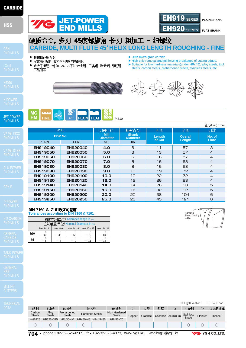

JET-POWER END MILLS

**CARBIDE** 

MILLING

|                         |                        |                              |                        |                                       |        |          |    |                    | ◯ : 什(Excellent)                  |          | ○:良(Good) |
|-------------------------|------------------------|------------------------------|------------------------|---------------------------------------|--------|----------|----|--------------------|-----------------------------------|----------|-----------|
| 碳钢                      | 合金钢                    | 预硬钢                          | 硬化钢                    | 高硬钢                                   | 铜      | 石墨       | 铸铁 | 铝                  | 不锈钢                               | 뜏        | 铬镍铁合金     |
| Carbon<br><b>Steels</b> | Alloy<br><b>Steels</b> | Prehardened<br><b>Steels</b> | <b>Hardened Steels</b> | <b>High Hardened</b><br><b>Steels</b> | Copper | Graphite |    | Cast Iron Aluminum | <b>Stainless</b><br><b>Steels</b> | Titanium | Inconel   |
| $-HB225$                | HB225~325              | $HRc30-40$                   | HRc40~45 HRc45~55      | HRc55~70                              |        |          |    |                    |                                   |          |           |
|                         |                        | U                            |                        |                                       |        |          |    |                    |                                   |          |           |
|                         |                        |                              |                        |                                       |        |          |    |                    |                                   |          |           |

**704 •** phone:+82-32-526-0909, fax:+82-32-526-4373, www.yg1.kr, E-mail:yg1@yg1.kr

**7/G** YG-1 CO., LTD.

- **CARBIDE, MULTI FLUTE 45**。**HELIX LONG LENGTH ROUGHING FINE**
- ▶ 超微粒硬质合金 ▶ 很高的排屑性可以减少切削刃的破损
- ▶ 适合于低硬化钢(HRc45以下), 合金钢, 工具钢, 碳素钢, 预硬钢, 不锈钢等

JET-POWER

- ▶Ultra micro grain carbide
- $\blacktriangleright$  High chip removal and minimizing breakages of cutting edges. ▶ Suitable for low hardness materials(under HRc45), alloy steels, tool
- steels, carbon steels, prehardened steels, stainless steels, etc.







|              |             |                                |                                 |                  |                | 单位(Unit): mm           |
|--------------|-------------|--------------------------------|---------------------------------|------------------|----------------|------------------------|
|              | 型号          | 刃部直径                           | 柄部直径                            | 刃长               | 全长             | 刃数                     |
|              | EDP No.     | <b>Mill</b><br><b>Diameter</b> | <b>Shank</b><br><b>Diameter</b> | Length<br>of Cut | <b>Overall</b> | No. of<br><b>Flute</b> |
| <b>PLAIN</b> | <b>FLAT</b> | h10                            | h <sub>6</sub>                  |                  | Length         |                        |
| EH919040     | EH920040    | 4.0                            | 6                               | 11               | 57             | З                      |
| EH919050     | EH920050    | 5.0                            | 6                               | 13               | 57             | $\overline{4}$         |
| EH919060     | EH920060    | 6.0                            | 6                               | 16               | 57             | $\overline{4}$         |
| EH919070     | EH920070    | 7.0                            | 8                               | 16               | 63             | $\overline{4}$         |
| EH919080     | EH920080    | 8.0                            | 8                               | 16               | 63             | $\overline{4}$         |
| EH919090     | EH920090    | 9.0                            | 10                              | 19               | 72             | $\overline{4}$         |
| EH919100     | EH920100    | 10.0                           | 10                              | 22               | 72             | $\overline{4}$         |
| EH919120     | EH920120    | 12.0                           | 12                              | 26               | 83             | $\overline{4}$         |
| EH919140     | EH920140    | 14.0                           | 14                              | 26               | 83             | 5                      |
| EH919160     | EH920160    | 16.0                           | 16                              | 32               | 92             | 5                      |
| EH919200     | EH920200    | 20.0                           | 20                              | 38               | 104            | 6                      |
| EH919250     | EH920250    | 25.0                           | 25                              | 45               | 121            | 6                      |

#### DIN 7160 & 7161规定的精度 **Tolerances according to DIN 7160 & 7161**

|                                | 精度范围单位/Tolerance range in $\mu$ m |                                                               |    |  |  |  |  |  |  |  |  |  |  |
|--------------------------------|-----------------------------------|---------------------------------------------------------------|----|--|--|--|--|--|--|--|--|--|--|
| 公称直径单位/ Nominal-Diameter in mm |                                   |                                                               |    |  |  |  |  |  |  |  |  |  |  |
|                                | from 1 to 3                       | over 10 to 18<br>over 6 to 10<br>over 3 to 6<br>over 18 to 30 |    |  |  |  |  |  |  |  |  |  |  |
| h10                            |                                   |                                                               | 58 |  |  |  |  |  |  |  |  |  |  |
| h <sub>6</sub>                 |                                   |                                                               |    |  |  |  |  |  |  |  |  |  |  |

**Removal** Sharp Cutting<br>edge

**FLAT SHANK** 

EH919 **SERIES PLAIN SHANK**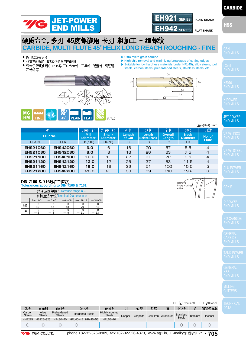



## 硬质合金 多刃 45度螺旋角 长刃 粗加工 - 细螺纹 **CARBIDE, MULTI FLUTE 45**。**HELIX LONG REACH ROUGHING - FINE**

▶ 超微粒硬质合金

**EH921060 EH921080 EH921100 EH921120 EH921160 EH921200**

**h10 h6**

 $\begin{matrix} 0 \ 40 \end{matrix}$ 

 $- \stackrel{0}{6}$ 

**EDP No.** PLAIN **FLAT** 

型号

**Tolerances according to DIN 7160 & 7161**

DIN 7160 & 7161规定的精度

 $-$  48

0 — 8

精度范围单位 / Tolerance range in µ 公称直径单位/ Nominal-Diameter in m

from 1 to  $\overline{3}$  over 3 to 6 over 6 to 10 over 10 to 18 over 18 to 30

0 — 9

 $\overline{0}$ — 58

 $\overline{0}$ — 70

0 — 11

 $\overline{\Omega}$ — 84

 $\overline{0}$  $13$ 

- ▶ 很高的排屑性可以减少切削刃的破损
- ▶ 适合于低硬化钢(HRc45以下),合金钢,工具钢,碳素钢,预硬钢, 不锈钢等
- ▶ Suitable for low hardness materials(under HRc45), alloy steels, tool steels, carbon steels, prehardened steels, stainless steels, etc. D3

**Length Below Shank**  $\overline{13}$ 

颈长

▶Ultra micro grain carbide



**EH942060 EH942080 EH942100 EH942120 EH942160 EH942200**

**6.0 8.0 10.0 12.0 16.0 20.0**

**Mill Diameter** D1(h10)

刃部直径

**Shank Diameter**  $D<sub>2</sub>(h6)$ 

柄部直径

**Length of Cut**  $\overline{11}$ 

刃长



**Overall Length**  $\overline{\phantom{0}}$ 

全长

 $\blacktriangleright$  High chip removal and minimizing breakages of cutting edges.

END MILLS

END MILLS

END MILLS

#### JET-POWER END MILLS

END MILLS

END MILLS

END MILLS

GENERAL **CARBIDE** 

HSS END MILLS

|                                                                                                               |                        |                              |  |                                                                 |          |        |          |    |                    | $\odot$ : $\frac{1}{2}$ (Excellent) |          | $\bigcirc$ : 良(Good) |
|---------------------------------------------------------------------------------------------------------------|------------------------|------------------------------|--|-----------------------------------------------------------------|----------|--------|----------|----|--------------------|-------------------------------------|----------|----------------------|
| 碳钢                                                                                                            | 合金钢                    | 预硬钢                          |  | 硬化钢<br>高硬钢                                                      |          | 铜      | 石墨       | 铸铁 | 铝                  | 不锈钢                                 | 钛        | 铬镍铁合金                |
| Carbon<br><b>Steels</b>                                                                                       | Alloy<br><b>Steels</b> | Prehardened<br><b>Steels</b> |  | <b>High Hardened</b><br><b>Hardened Steels</b><br><b>Steels</b> |          | Copper | Graphite |    | Cast Iron Aluminum | <b>Stainless</b><br><b>Steels</b>   | Titanium | Inconel              |
| $-HB225$                                                                                                      | HB225~325              | HRc30~40                     |  | HRc40~45 HRc45~55                                               | HRc55~70 |        |          |    |                    |                                     |          |                      |
|                                                                                                               | O                      | $\circledcirc$               |  |                                                                 |          |        |          |    |                    |                                     |          |                      |
| phone:+82-32-526-0909, fax:+82-32-526-4373, www.yg1.kr, E-mail:yg1@yg1.kr •<br>705<br><b>YG YG 1 CO. LTD.</b> |                        |                              |  |                                                                 |          |        |          |    |                    |                                     |          |                      |



 $\overline{4}$  $\overline{4}$  $\overline{4}$  $\overline{4}$ 5  $\mathsf{R}$ 

**No. of Flute**

刃数

(Unit) : mm

5.5 7.5 9.5 11.5 15.5 19.2

**Neck Diameter**  $\overline{D3}$ 

颈径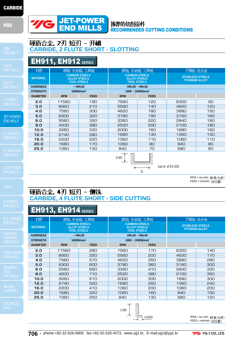#### **HSS**



硬质合金, 2刃 短刃 - 开**槽**<br>CARBIDE, 2 FLUTE SHORT - SLOTTING

#### 推荐的切削条件 RECOMMENDED CUTTING CONDITIONS

END MILLS

# EH911, EH912 **SERIES**

| <b>END MILLS</b>     | 材质              |                                                                   | 碳钢,合金钢,工具钢    | 碳钢,合金钢,工具钢                                                        |             | 不锈钢, 钛合金                                         |     |  |
|----------------------|-----------------|-------------------------------------------------------------------|---------------|-------------------------------------------------------------------|-------------|--------------------------------------------------|-----|--|
| X5070                | <b>MATERIAL</b> | <b>CARBON STEELS</b><br><b>ALLOY STEELS</b><br><b>TOOL STEELS</b> |               | <b>CARBON STEELS</b><br><b>ALLOY STEELS</b><br><b>TOOL STEELS</b> |             | <b>STAINLESS STEELS</b><br><b>TITANIUM ALLOY</b> |     |  |
| <b>END MILLS</b>     | <b>HARDNESS</b> |                                                                   | $~\sim$ HRc30 | <b>HRc30 ~ HRc45</b>                                              |             |                                                  |     |  |
|                      | <b>STRENGTH</b> | 1000N/mm <sup>2</sup>                                             |               | $1000 \sim 1500$ N/mm <sup>2</sup>                                |             |                                                  |     |  |
|                      | <b>DIAMETER</b> | <b>RPM</b>                                                        | <b>FEED</b>   | <b>RPM</b>                                                        | <b>FEED</b> |                                                  |     |  |
| X-POWER              | 2.0             | 11560                                                             | 190           | 7560                                                              | 120         | 6300                                             | 90  |  |
| <b>END MILLS</b>     | 3.0             | 8920                                                              | 210           | 5560                                                              | 140         | 4620                                             | 120 |  |
| <b>JET-POWER</b>     | 4.0             | 7560                                                              | 300           | 4620                                                              | 180         | 3880                                             | 150 |  |
|                      | 5.0             | 6300                                                              | 320           | 3780                                                              | 190         | 3160                                             | 160 |  |
| <b>END MILLS</b>     | 6.0             | 5560                                                              | 350           | 3360                                                              | 220         | 2840                                             | 180 |  |
|                      | 8.0             | 4200                                                              | 380           | 2520                                                              | 200         | 2100                                             | 180 |  |
|                      | 10.0            | 3260                                                              | 330           | 2000                                                              | 160         | 1680                                             | 160 |  |
| <b>V7 Mill INOX</b>  | 12.0            | 2740                                                              | 280           | 1680                                                              | 130         | 1360                                             | 130 |  |
| <b>END MILLS</b>     | 16.0            | 2200                                                              | 220           | 1360                                                              | 110         | 1060                                             | 110 |  |
|                      | 20.0            | 1680                                                              | 170           | 1060                                                              | 80          | 840                                              | 80  |  |
| <b>V7 Mill STEEL</b> | 25.0            | 1360                                                              | 130           | 840                                                               | 70          | 680                                              | 60  |  |
| END MILLS            |                 |                                                                   |               | $\mathbb{Z}$                                                      | rz.         |                                                  |     |  |

 $\frac{1}{\sqrt{\frac{2}{1-\frac{1}{1-\frac{1}{1-\frac{1}{1-\frac{1}{1-\frac{1}{1-\frac{1}{1-\frac{1}{1-\frac{1}{1-\frac{1}{1-\frac{1}{1-\frac{1}{1-\frac{1}{1-\frac{1}{1-\frac{1}{1-\frac{1}{1-\frac{1}{1-\frac{1}{1-\frac{1}{1-\frac{1}{1-\frac{1}{1-\frac{1}{1-\frac{1}{1-\frac{1}{1-\frac{1}{1-\frac{1}{1-\frac{1}{1-\frac{1}{1-\frac{1}{1-\frac{1}{1-\frac{1}{1-\frac{1}{1-\frac{1}{1-\frac{1}{1-\frac{1}{1-\frac{$ D (up to Ø3:0.2D)

RPM = rev./min. (转速/分钟)

 $FEED = mm/min.$  $()#sup$ 

### 硬质合金, 4刃 短刃 - 侧铣 **CARBIDE, 4 FLUTE SHORT - SIDE CUTTING**

# EH913, EH914 **SERIES**

| 材质              | 碳钢,合金钢,工具钢                                                        |               | 碳钢, 合金钢, 工具钢                                                      |             | 不锈钢, 钛合金                                         |     |  |
|-----------------|-------------------------------------------------------------------|---------------|-------------------------------------------------------------------|-------------|--------------------------------------------------|-----|--|
| <b>MATERIAL</b> | <b>CARBON STEELS</b><br><b>ALLOY STEELS</b><br><b>TOOL STEELS</b> |               | <b>CARBON STEELS</b><br><b>ALLOY STEELS</b><br><b>TOOL STEELS</b> |             | <b>STAINLESS STEELS</b><br><b>TITANIUM ALLOY</b> |     |  |
| <b>HARDNESS</b> |                                                                   | $~\sim$ HRc30 | $HRc30 ~ - HRc45$                                                 |             |                                                  |     |  |
| <b>STRENGTH</b> |                                                                   | $1000N/mm^2$  | 1000 ~ 1500N/mm <sup>2</sup>                                      |             |                                                  |     |  |
| <b>DIAMETER</b> | <b>RPM</b>                                                        | <b>FEED</b>   | <b>RPM</b>                                                        | <b>FEED</b> |                                                  |     |  |
| 2.0             | 11560                                                             | 280           | 7560                                                              | 170         | 6300                                             | 140 |  |
| 3.0             | 8920                                                              | 320           | 5560                                                              | 200         | 4620                                             | 170 |  |
| 4.0             | 7560                                                              | 570           | 4620                                                              | 350         | 3880                                             | 280 |  |
| 5.0             | 6300                                                              | 600           | 3780                                                              | 360         | 3160                                             | 300 |  |
| 6.0             | 5560                                                              | 660           | 3360                                                              | 410         | 2840                                             | 330 |  |
| 8.0             | 4200                                                              | 710           | 2520                                                              | 380         | 2100                                             | 350 |  |
| 10.0            | 3260                                                              | 610           | 2000                                                              | 300         | 1680                                             | 300 |  |
| 12.0            | 2740                                                              | 520           | 1680                                                              | 250         | 1360                                             | 240 |  |
| 16.0            | 2200                                                              | 410           | 1360                                                              | 200         | 1060                                             | 200 |  |
| 20.0            | 1680                                                              | 320           | 1060                                                              | 160         | 840                                              | 150 |  |
| 25.0            | 1360                                                              | 250           | 840                                                               | 130         | 680                                              | 120 |  |



RPM = rev./min. (转速/分钟) FEED = mm/min.  $(\pm \triangle \blacksquare)$ 

MILLING

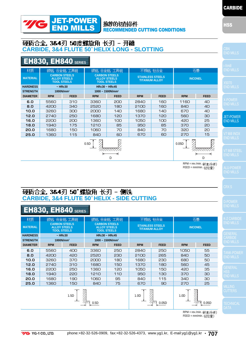#### 推荐的切削条件 RECOMMENDED CUTTING CONDITIONS

# 硬质合金, 3&4刃 50度螺旋角 长刃 - 开槽<br>CARBIDE, 3&4 FLUTE 50°HELIX LONG - SLOTTING

JET-POWER END MILLS

# EH830, EH840 **SERIES**

**TE** 

|                 |                                                                   |               |                                                                   |                                 |                                                  |             |                |             | 1-XMIII                     |
|-----------------|-------------------------------------------------------------------|---------------|-------------------------------------------------------------------|---------------------------------|--------------------------------------------------|-------------|----------------|-------------|-----------------------------|
| 材质              |                                                                   | 碳钢,合金钢,工具钢    |                                                                   | 碳钢,合金钢,工具钢                      |                                                  | 不锈钢, 钛合金    |                | 石墨          | <b>END MILLS</b>            |
| <b>MATERIAL</b> | <b>CARBON STEELS</b><br><b>ALLOY STEELS</b><br><b>TOOL STEELS</b> |               | <b>CARBON STEELS</b><br><b>ALLOY STEELS</b><br><b>TOOL STEELS</b> |                                 | <b>STAINLESS STEELS</b><br><b>TITANIUM ALLOY</b> |             | <b>INCONEL</b> |             | X5070                       |
| <b>HARDNESS</b> |                                                                   | $~\sim$ HRc30 | HRc30 ~ HRC45<br>$1000 \sim 1500$ N/mm <sup>2</sup>               |                                 |                                                  |             |                |             | <b>END MILLS</b>            |
| <b>STRENGTH</b> |                                                                   | $1000N/mm^2$  |                                                                   |                                 |                                                  |             |                |             |                             |
| <b>DIAMETER</b> | <b>RPM</b>                                                        | <b>FEED</b>   | <b>RPM</b>                                                        | <b>FEED</b>                     | <b>RPM</b>                                       | <b>FEED</b> | <b>RPM</b>     | <b>FEED</b> |                             |
| 6.0             | 5560                                                              | 310           | 3360                                                              | 200                             | 2840                                             | 160         | 1160           | 40          | X-POWER<br><b>END MILLS</b> |
| 8.0             | 4200                                                              | 340           | 2520                                                              | 180                             | 2100                                             | 160         | 840            | 40          |                             |
| 10.0            | 3260                                                              | 300           | 2000                                                              | 140                             | 1680                                             | 140         | 670            | 40          |                             |
| 12.0            | 2740                                                              | 250           | 1680                                                              | 120                             | 1370                                             | 120         | 560            | 30          | <b>JET-POWE</b>             |
| 16.0            | 2200                                                              | 200           | 1360                                                              | 100                             | 1050                                             | 100         | 420            | 25          | <b>END MILLS</b>            |
| 18.0            | 1940                                                              | 175           | 1210                                                              | 85                              | 950                                              | 85          | 370            | 20          |                             |
| 20.0            | 1680                                                              | 150           | 1060                                                              | 70                              | 840                                              | 70          | 320            | 20          |                             |
| 25.0            | 1360                                                              | 115           | 840                                                               | 60                              | 670                                              | 60          | 270            | 15          | V7 Mill INO)                |
|                 |                                                                   | 0.05D         |                                                                   | <b>END MILLS</b><br>V7 Mill STE |                                                  |             |                |             |                             |
|                 |                                                                   |               |                                                                   |                                 |                                                  |             |                |             |                             |

D

#### RPM = rev./min. (转速/分钟) FEED = mm/min. (进给量)

D

**T-POWER ID MILLS** 

END MILLS

# END MILLS

HSS END MILLS

RPM = rev./min. (转速/分钟)  $FEED = \frac{mm/min}{m}$  (拼给量)

# 硬质合金, 3&4刃 50 螺旋角 长刃 - 侧铣<br>CARBIDE, 3&4 FLUTE 50°HELIX - SIDE CUTTING

# EH830, EH840 **SERIES**

| 材质              | 碳钢, 合金钢, 工具钢                                                      |               | 碳钢,合金钢,工具钢                                                        |             | 不锈钢, 钛合金                                         |             | 石墨             |             |
|-----------------|-------------------------------------------------------------------|---------------|-------------------------------------------------------------------|-------------|--------------------------------------------------|-------------|----------------|-------------|
| <b>MATERIAL</b> | <b>CARBON STEELS</b><br><b>ALLOY STEELS</b><br><b>TOOL STEELS</b> |               | <b>CARBON STEELS</b><br><b>ALLOY STEELS</b><br><b>TOOL STEELS</b> |             | <b>STAINLESS STEELS</b><br><b>TITANIUM ALLOY</b> |             | <b>INCONEL</b> |             |
| <b>HARDNESS</b> |                                                                   | $~\sim$ HRc30 | <b>HRc30 ~ HRc45</b>                                              |             |                                                  |             |                |             |
| <b>STRENGTH</b> |                                                                   | $1000N/mm^2$  | $1000 \sim 1500$ N/mm <sup>2</sup>                                |             |                                                  |             |                |             |
| <b>DIAMETER</b> | <b>RPM</b>                                                        | <b>FEED</b>   | <b>RPM</b>                                                        | <b>FEED</b> | <b>RPM</b>                                       | <b>FEED</b> | <b>RPM</b>     | <b>FEED</b> |
| 6.0             | 5560                                                              | 400           | 3360                                                              | 250         | 2840                                             | 250         | 1050           | 55          |
| 8.0             | 4200                                                              | 420           | 2520                                                              | 230         | 2100                                             | 265         | 840            | 50          |
| 10.0            | 3260                                                              | 370           | 2000                                                              | 180         | 1680                                             | 230         | 680            | 50          |
| 12.0            | 2740                                                              | 310           | 1680                                                              | 150         | 1370                                             | 180         | 560            | 45          |
| 16.0            | 2200                                                              | 250           | 1360                                                              | 120         | 1050                                             | 150         | 420            | 35          |
| 18.0            | 1940                                                              | 220           | 1210                                                              | 110         | 950                                              | 130         | 370            | 30          |
| 20.0            | 1680                                                              | 190           | 1060                                                              | 95          | 840                                              | 115         | 340            | 30          |
| 25.0            | 1360                                                              | 150           | 840                                                               | 75          | 670                                              | 90          | 270            | 25          |
| 1.5D<br>0.5D    |                                                                   |               |                                                                   |             | 1.0 <sub>D</sub>                                 | 0.05D       | 1.0D           | 0.05D       |

**YG** YG-1 CO., LTD.

**HSS** 

END MILLS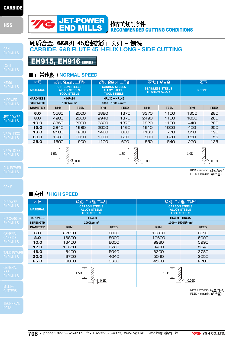**HSS** 



EH915, EH916 **SERIES**

#### 推荐的切削条件 RECOMMENDED CUTTING CONDITIONS

END MILLS

JET-POWER END MILLS

MILLING

| 正常速度 / NORMAL SPEED |                    |                                             |                                                                   |                                    |                                                  |             |                  |             |  |
|---------------------|--------------------|---------------------------------------------|-------------------------------------------------------------------|------------------------------------|--------------------------------------------------|-------------|------------------|-------------|--|
| 材质                  |                    | 碳钢,合金钢,工具钢                                  |                                                                   | 碳钢, 合金钢, 工具钢                       |                                                  | 不锈钢,钛合金     |                  | 石墨          |  |
| <b>MATERIAL</b>     | <b>TOOL STEELS</b> | <b>CARBON STEELS</b><br><b>ALLOY STEELS</b> | <b>CARBON STEELS</b><br><b>ALLOY STEELS</b><br><b>TOOL STEELS</b> |                                    | <b>STAINLESS STEELS</b><br><b>TITANIUM ALLOY</b> |             | <b>INCONEL</b>   |             |  |
| <b>HARDNESS</b>     |                    | $~\sim$ HRc30                               |                                                                   | HRc30 ~ HRC45                      |                                                  |             |                  |             |  |
| <b>STRENGTH</b>     |                    | 1000N/mm <sup>2</sup>                       |                                                                   | $1000 \sim 1500$ N/mm <sup>2</sup> |                                                  |             |                  |             |  |
| <b>DIAMETER</b>     | <b>RPM</b>         | <b>FEED</b>                                 | <b>RPM</b>                                                        | <b>FEED</b>                        | <b>RPM</b>                                       | <b>FEED</b> | <b>RPM</b>       | <b>FEED</b> |  |
| 6.0                 | 5560               | 2000                                        | 3880                                                              | 1370                               | 3370                                             | 1100        | 1350             | 280         |  |
| 8.0                 | 4200               | 2000                                        | 2940                                                              | 1370                               | 2490                                             | 1100        | 1000             | 280         |  |
| 10.0                | 3360               | 2000                                        | 2320                                                              | 1370                               | 1920                                             | 1100        | 440              | 280         |  |
| 12.0                | 2840               | 1680                                        | 2000                                                              | 1160                               | 1610                                             | 1000        | 400              | 250         |  |
| 16.0                | 2100               | 1260                                        | 1480                                                              | 880                                | 1160                                             | 770         | 310              | 190         |  |
| 20.0                | 1680               | 1010                                        | 1160                                                              | 690                                | 900                                              | 620         | 250              | 155         |  |
| 25.0                | 1500               | 900                                         | 1100                                                              | 600                                | 850                                              | 540         | 220              | 135         |  |
| 1.5D<br>0.1D        |                    |                                             | 1.5D<br>0.05D                                                     |                                    |                                                  |             | 1.0 <sub>D</sub> | 0.02D       |  |

硬质合金, 6&8刃 45度螺旋角 长刃 - 侧铁<br>CARBIDE, 6&8 FLUTE 45° HELIX LONG - SIDE CUTTING

RPM = rev./min. 转速/分钟)  $FEED = \text{mm/min.}$  $(#4)$ 

## ■ 高速 / HIGH SPEED

| 材质              | 碳钢,合金钢,工具钢                                                        |             | 碳钢, 合金钢, 工具钢                                                      |             |  |  |
|-----------------|-------------------------------------------------------------------|-------------|-------------------------------------------------------------------|-------------|--|--|
| <b>MATERIAL</b> | <b>CARBON STEELS</b><br><b>ALLOY STEELS</b><br><b>TOOL STEELS</b> |             | <b>CARBON STEELS</b><br><b>ALLOY STEELS</b><br><b>TOOL STEELS</b> |             |  |  |
| <b>HARDNESS</b> | $~\sim$ HRc30                                                     |             | HRc30 ~ HRC45                                                     |             |  |  |
| <b>STRENGTH</b> | 1000N/mm <sup>2</sup>                                             |             | $1000 - 1500N/mm^2$                                               |             |  |  |
| <b>DIAMETER</b> | <b>RPM</b>                                                        | <b>FEED</b> | <b>RPM</b>                                                        | <b>FEED</b> |  |  |
| 6.0             | 22200                                                             | 8000        | 16800                                                             | 6090        |  |  |
| 8.0             | 16800                                                             | 8000        | 12600                                                             | 6090        |  |  |
| 10.0            | 13400                                                             | 8000        | 9980                                                              | 5990        |  |  |
| 12.0            | 11350                                                             | 6720        | 8400                                                              | 5040        |  |  |
| 16.0            | 8400                                                              | 5040        | 6300                                                              | 3780        |  |  |
| 20.0            | 6700                                                              | 4040        | 5040                                                              | 3050        |  |  |
| 25.0            | 6000                                                              | 3600        | 4500                                                              | 2700        |  |  |
|                 | 1.5D                                                              | 0.1D        | 1.5D                                                              | 0.05D       |  |  |

RPM = rev./min. (转速/分钟)  $FEED = \text{mm/min.}$  $($  ( )  $\frac{1}{2}$  ( )  $\frac{1}{2}$  ( )  $\frac{1}{2}$ 

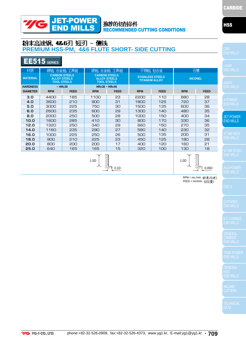### 推荐的切削条件 RECOMMENDED CUTTING CONDITIONS

## 粉末高速钢, 4&6刃 短刃 - 侧铣 **PREMIUM HSS-PM, 4&6 FLUTE SHORT- SIDE CUTTING**

JET-POWER END MILLS

# EE515 **SERIES**

 $\gamma$ c

| 材质              | 碳钢,合金钢,工具钢                                                        |               | 碳钢,合金钢,工具钢                                                        |                      | 不锈钢, 钛合金                                         |             | 石墨             |             | E <sub>b</sub> |
|-----------------|-------------------------------------------------------------------|---------------|-------------------------------------------------------------------|----------------------|--------------------------------------------------|-------------|----------------|-------------|----------------|
| <b>MATERIAL</b> | <b>CARBON STEELS</b><br><b>ALLOY STEELS</b><br><b>TOOL STEELS</b> |               | <b>CARBON STEELS</b><br><b>ALLOY STEELS</b><br><b>TOOL STEELS</b> |                      | <b>STAINLESS STEELS</b><br><b>TITANIUM ALLOY</b> |             | <b>INCONEL</b> |             |                |
| <b>HARDNESS</b> |                                                                   | $~\sim$ HRc30 |                                                                   | <b>HRc30 ~ HRc45</b> |                                                  |             |                |             | $rac{X5}{E}$   |
| <b>DIAMETER</b> | <b>RPM</b>                                                        | <b>FEED</b>   | <b>RPM</b>                                                        | <b>FEED</b>          | <b>RPM</b>                                       | <b>FEED</b> | <b>RPM</b>     | <b>FEED</b> |                |
| 3.0             | 4400                                                              | 185           | 1100                                                              | 23                   | 2200                                             | 110         | 880            | 28          |                |
| 4.0             | 3600                                                              | 210           | 900                                                               | 31                   | 1800                                             | 125         | 720            | 37          | $rac{X}{E}$    |
| 5.0             | 3000                                                              | 225           | 750                                                               | 30                   | 1500                                             | 135         | 600            | 36          |                |
| 6.0             | 2600                                                              | 235           | 600                                                               | 29                   | 1300                                             | 140         | 480            | 35          |                |
| 8.0             | 2000                                                              | 250           | 500                                                               | 28                   | 1000                                             | 150         | 400            | 34          | JE             |
| 10.0            | 1600                                                              | 285           | 410                                                               | 30                   | 800                                              | 170         | 330            | 36          | E <sub>b</sub> |
| 12.0            | 1320                                                              | 250           | 340                                                               | 29                   | 660                                              | 150         | 270            | 35          |                |
| 14.0            | 1160                                                              | 235           | 290                                                               | 27                   | 580                                              | 140         | 230            | 32          |                |
| 16.0            | 1000                                                              | 225           | 250                                                               | 26                   | 500                                              | 135         | 200            | 31          | V <sub>7</sub> |
| 18.0            | 900                                                               | 210           | 225                                                               | 23                   | 450                                              | 125         | 180            | 28          | EN             |
| 20.0            | 800                                                               | 200           | 200                                                               | 17                   | 400                                              | 120         | 160            | 21          |                |
| 25.0            | 640                                                               | 165           | 165                                                               | 15                   | 320                                              | 100         | 130            | 18          |                |
| 1.5D            |                                                                   |               |                                                                   |                      |                                                  |             |                |             | EN             |
|                 |                                                                   |               | 0.05D                                                             |                      |                                                  |             |                |             |                |

RPM = rev./min. 转速/分钟)  $FEED = mm/min.$  $()#sup$ 

**HSS** 

END MILLS

**T-POWER ID MILLS** 

END MILLS

END MILLS

END MILLS

HSS END MILLS